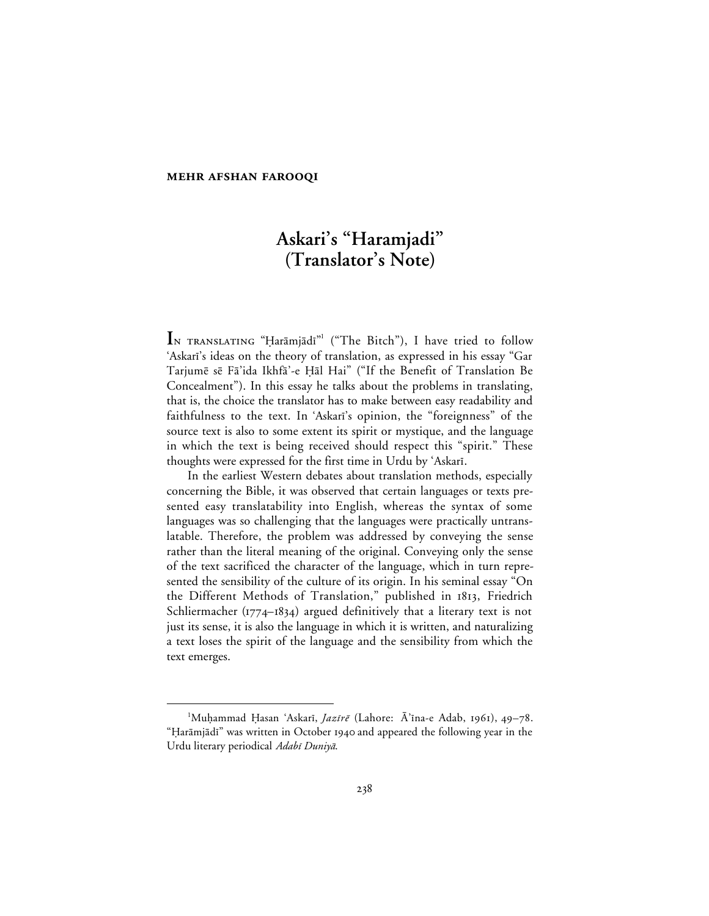#### **MEHR AFSHAN FAROOQI**

# **Askari's "Haramjadi" (Translator's Note)**

 ${\bf I}$ N TRANSLATING "Ḥarāmjādī"<sup>1</sup> ("The Bitch"), I have tried to follow 'Askari's ideas on the theory of translation, as expressed in his essay "Gar Tarjumē sē Fā'ida Ikhfā'-e Ḥāl Hai" ("If the Benefit of Translation Be Concealment"). In this essay he talks about the problems in translating, that is, the choice the translator has to make between easy readability and faithfulness to the text. In 'Askari's opinion, the "foreignness" of the source text is also to some extent its spirit or mystique, and the language in which the text is being received should respect this "spirit." These thoughts were expressed for the first time in Urdu by 'Askari.

In the earliest Western debates about translation methods, especially concerning the Bible, it was observed that certain languages or texts presented easy translatability into English, whereas the syntax of some languages was so challenging that the languages were practically untranslatable. Therefore, the problem was addressed by conveying the sense rather than the literal meaning of the original. Conveying only the sense of the text sacrificed the character of the language, which in turn represented the sensibility of the culture of its origin. In his seminal essay "On the Different Methods of Translation," published in 1813, Friedrich Schliermacher ( $1774 - 1834$ ) argued definitively that a literary text is not just its sense, it is also the language in which it is written, and naturalizing a text loses the spirit of the language and the sensibility from which the text emerges.

 $\overline{\phantom{a}}$ <sup>1</sup>Muḥammad Ḥasan 'Askarī, *Jazīrē* (Lahore: Ā'īna-e Adab, 1961), 49-78. "Harāmjādī" was written in October 1940 and appeared the following year in the Urdu literary periodical Adabī Duniyā.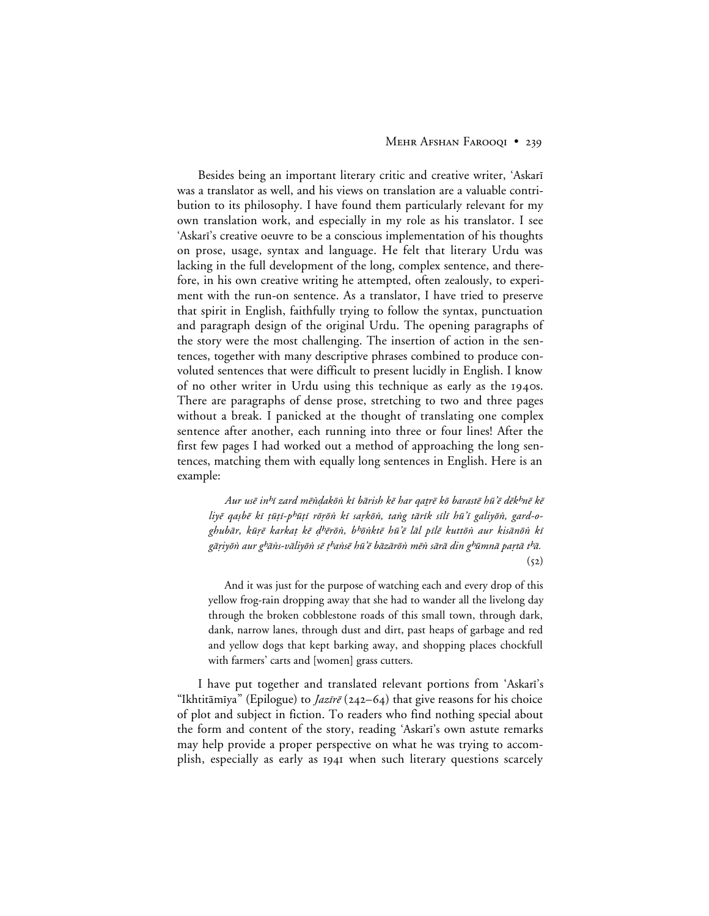#### MEHR AFSHAN FAROOQI • 239

Besides being an important literary critic and creative writer, 'Askari was a translator as well, and his views on translation are a valuable contribution to its philosophy. I have found them particularly relevant for my own translation work, and especially in my role as his translator. I see 'Askari's creative oeuvre to be a conscious implementation of his thoughts on prose, usage, syntax and language. He felt that literary Urdu was lacking in the full development of the long, complex sentence, and therefore, in his own creative writing he attempted, often zealously, to experiment with the run-on sentence. As a translator, I have tried to preserve that spirit in English, faithfully trying to follow the syntax, punctuation and paragraph design of the original Urdu. The opening paragraphs of the story were the most challenging. The insertion of action in the sentences, together with many descriptive phrases combined to produce convoluted sentences that were difficult to present lucidly in English. I know of no other writer in Urdu using this technique as early as the 1940s. There are paragraphs of dense prose, stretching to two and three pages without a break. I panicked at the thought of translating one complex sentence after another, each running into three or four lines! After the first few pages I had worked out a method of approaching the long sentences, matching them with equally long sentences in English. Here is an example:

Aur usē in<sup>h</sup>ī zard mēndakōn kī bārish kē har qatrē kō barastē hū'ē dēk<sup>h</sup>nē kē liyē qaṣbē kī ṭūṭī-pʰūṭī rōṛōṅ kī saṛkōṅ, taṅg tārīk sīlī hū'ī galiyōṅ, gard-oghubār, kūrē karkat kē d<sup>h</sup>ērōn, b<sup>h</sup>ōnktē hū'ē lāl pīlē kuttōn aur kisānōn ki gāriyōn aur g<sup>h</sup>āns-vāliyōn sē t<sup>h</sup>ansē hū'ē bāzārōn mēn sārā din g<sup>h</sup>ūmnā partā t<sup>h</sup>ā.  $(52)$ 

And it was just for the purpose of watching each and every drop of this yellow frog-rain dropping away that she had to wander all the livelong day through the broken cobblestone roads of this small town, through dark, dank, narrow lanes, through dust and dirt, past heaps of garbage and red and yellow dogs that kept barking away, and shopping places chockfull with farmers' carts and [women] grass cutters.

I have put together and translated relevant portions from 'Askari's "Ikhtitāmīya" (Epilogue) to *Jazīrē* (242–64) that give reasons for his choice of plot and subject in fiction. To readers who find nothing special about the form and content of the story, reading 'Askari's own astute remarks may help provide a proper perspective on what he was trying to accomplish, especially as early as 1941 when such literary questions scarcely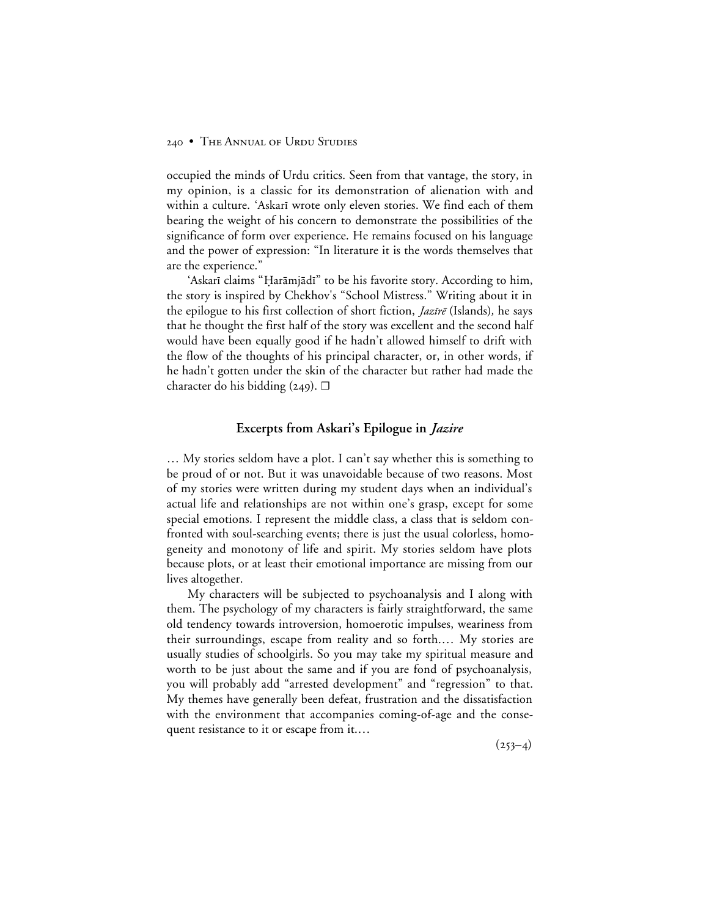## 240 • THE ANNUAL OF URDU STUDIES

occupied the minds of Urdu critics. Seen from that vantage, the story, in my opinion, is a classic for its demonstration of alienation with and within a culture. 'Askarī wrote only eleven stories. We find each of them bearing the weight of his concern to demonstrate the possibilities of the significance of form over experience. He remains focused on his language and the power of expression: "In literature it is the words themselves that are the experience."

'Askarī claims "Ḥarāmjādī" to be his favorite story. According to him, the story is inspired by Chekhov's "School Mistress." Writing about it in the epilogue to his first collection of short fiction, *Jazīrē* (Islands), he says that he thought the first half of the story was excellent and the second half would have been equally good if he hadn't allowed himself to drift with the flow of the thoughts of his principal character, or, in other words, if he hadn't gotten under the skin of the character but rather had made the character do his bidding (249).  $\Box$ 

## **Excerpts from Askari's Epilogue in** *Jazire*

… My stories seldom have a plot. I can't say whether this is something to be proud of or not. But it was unavoidable because of two reasons. Most of my stories were written during my student days when an individual's actual life and relationships are not within one's grasp, except for some special emotions. I represent the middle class, a class that is seldom confronted with soul-searching events; there is just the usual colorless, homogeneity and monotony of life and spirit. My stories seldom have plots because plots, or at least their emotional importance are missing from our lives altogether.

My characters will be subjected to psychoanalysis and I along with them. The psychology of my characters is fairly straightforward, the same old tendency towards introversion, homoerotic impulses, weariness from their surroundings, escape from reality and so forth.… My stories are usually studies of schoolgirls. So you may take my spiritual measure and worth to be just about the same and if you are fond of psychoanalysis, you will probably add "arrested development" and "regression" to that. My themes have generally been defeat, frustration and the dissatisfaction with the environment that accompanies coming-of-age and the consequent resistance to it or escape from it.…

 $(253-4)$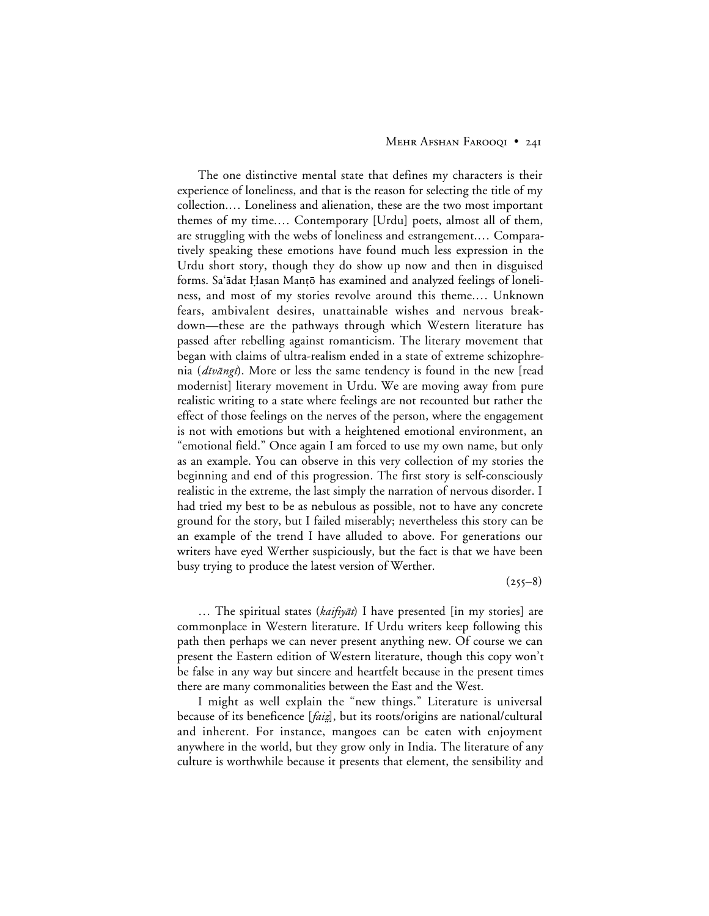#### MEHR AFSHAN FAROOQI • 24I

The one distinctive mental state that defines my characters is their experience of loneliness, and that is the reason for selecting the title of my collection.… Loneliness and alienation, these are the two most important themes of my time.… Contemporary [Urdu] poets, almost all of them, are struggling with the webs of loneliness and estrangement.… Comparatively speaking these emotions have found much less expression in the Urdu short story, though they do show up now and then in disguised forms. Sa'ādat Hasan Mantō has examined and analyzed feelings of loneliness, and most of my stories revolve around this theme.… Unknown fears, ambivalent desires, unattainable wishes and nervous breakdown—these are the pathways through which Western literature has passed after rebelling against romanticism. The literary movement that began with claims of ultra-realism ended in a state of extreme schizophrenia (dīvāngī). More or less the same tendency is found in the new [read modernist] literary movement in Urdu. We are moving away from pure realistic writing to a state where feelings are not recounted but rather the effect of those feelings on the nerves of the person, where the engagement is not with emotions but with a heightened emotional environment, an "emotional field." Once again I am forced to use my own name, but only as an example. You can observe in this very collection of my stories the beginning and end of this progression. The first story is self-consciously realistic in the extreme, the last simply the narration of nervous disorder. I had tried my best to be as nebulous as possible, not to have any concrete ground for the story, but I failed miserably; nevertheless this story can be an example of the trend I have alluded to above. For generations our writers have eyed Werther suspiciously, but the fact is that we have been busy trying to produce the latest version of Werther.

 $(255-8)$ 

... The spiritual states (*kaifiyāt*) I have presented [in my stories] are commonplace in Western literature. If Urdu writers keep following this path then perhaps we can never present anything new. Of course we can present the Eastern edition of Western literature, though this copy won't be false in any way but sincere and heartfelt because in the present times there are many commonalities between the East and the West.

I might as well explain the "new things." Literature is universal because of its beneficence [*faiz*], but its roots/origins are national/cultural and inherent. For instance, mangoes can be eaten with enjoyment anywhere in the world, but they grow only in India. The literature of any culture is worthwhile because it presents that element, the sensibility and